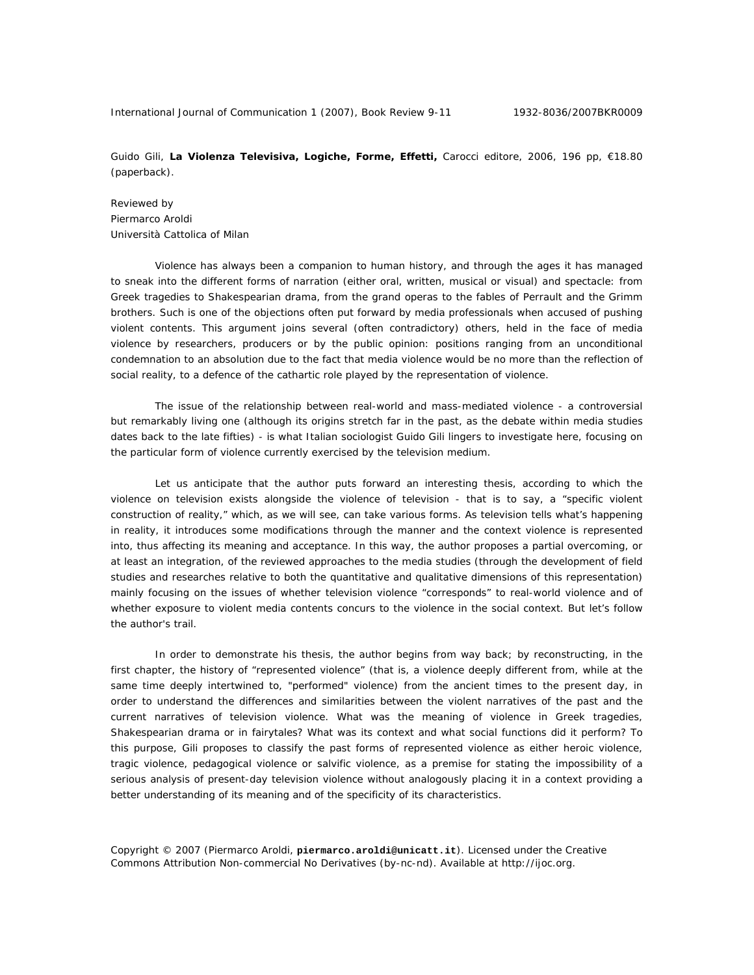International Journal of Communication 1 (2007), Book Review 9-11 1932-8036/2007BKR0009

Guido Gili, **La Violenza Televisiva, Logiche, Forme, Effetti,** Carocci editore, 2006, 196 pp, €18.80 (paperback).

Reviewed by Piermarco Aroldi Università Cattolica of Milan

Violence has always been a companion to human history, and through the ages it has managed to sneak into the different forms of narration (either oral, written, musical or visual) and spectacle: from Greek tragedies to Shakespearian drama, from the grand operas to the fables of Perrault and the Grimm brothers. Such is one of the objections often put forward by media professionals when accused of pushing violent contents. This argument joins several (often contradictory) others, held in the face of media violence by researchers, producers or by the public opinion: positions ranging from an unconditional condemnation to an absolution due to the fact that media violence would be no more than the reflection of social reality, to a defence of the cathartic role played by the representation of violence.

The issue of the relationship between real-world and mass-mediated violence - a controversial but remarkably living one (although its origins stretch far in the past, as the debate within media studies dates back to the late fifties) - is what Italian sociologist Guido Gili lingers to investigate here, focusing on the particular form of violence currently exercised by the television medium.

Let us anticipate that the author puts forward an interesting thesis, according to which the violence *on* television exists alongside the violence *of* television - that is to say, a "specific violent construction of reality," which, as we will see, can take various forms. As television tells what's happening in reality, it introduces some modifications through the manner and the context violence is represented into, thus affecting its meaning and acceptance. In this way, the author proposes a partial overcoming, or at least an integration, of the reviewed approaches to the media studies (through the development of field studies and researches relative to both the quantitative and qualitative dimensions of this representation) mainly focusing on the issues of whether television violence "corresponds" to real-world violence and of whether exposure to violent media contents concurs to the violence in the social context. But let's follow the author's trail.

In order to demonstrate his thesis, the author begins from way back; by reconstructing, in the first chapter, the history of "represented violence" (that is, a violence deeply different from, while at the same time deeply intertwined to, "performed" violence) from the ancient times to the present day, in order to understand the differences and similarities between the violent narratives of the past and the current narratives of television violence. What was the meaning of violence in Greek tragedies, Shakespearian drama or in fairytales? What was its context and what social functions did it perform? To this purpose, Gili proposes to classify the past forms of represented violence as either *heroic* violence, *tragic* violence, *pedagogical* violence or *salvific* violence, as a premise for stating the impossibility of a serious analysis of present-day television violence without analogously placing it in a context providing a better understanding of its meaning and of the specificity of its characteristics.

Copyright © 2007 (Piermarco Aroldi, **piermarco.aroldi@unicatt.it**). Licensed under the Creative Commons Attribution Non-commercial No Derivatives (by-nc-nd). Available at http://ijoc.org.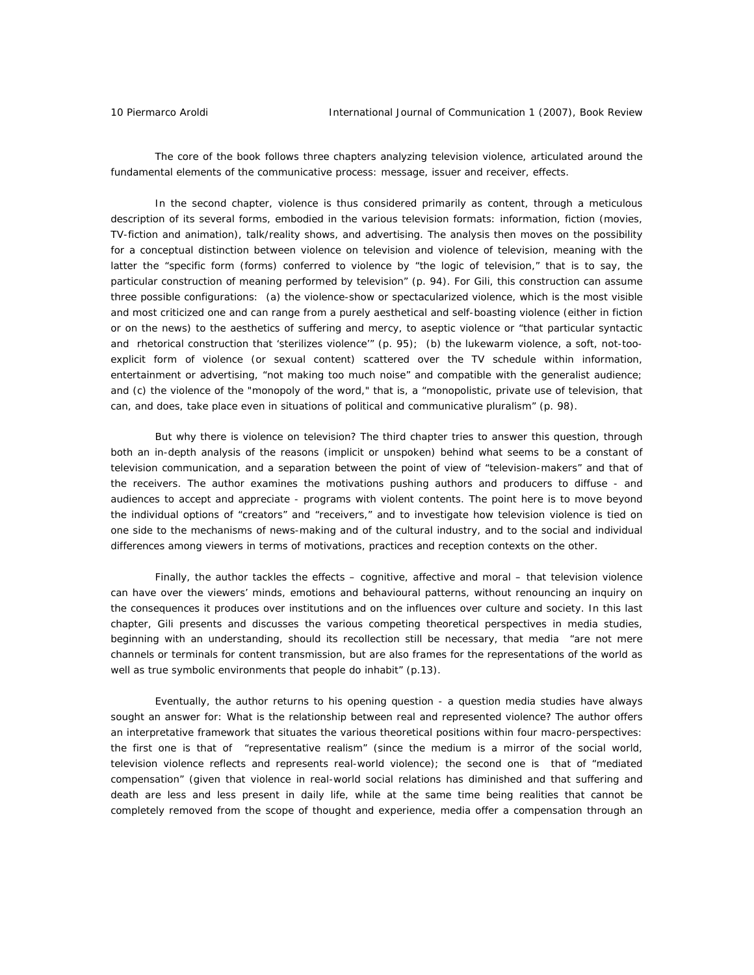The core of the book follows three chapters analyzing television violence, articulated around the fundamental elements of the communicative process: message, issuer and receiver, effects.

In the second chapter, violence is thus considered primarily as content, through a meticulous description of its several forms, embodied in the various television formats: information, fiction (movies, TV-fiction and animation), talk/reality shows, and advertising. The analysis then moves on the possibility for a conceptual distinction between violence *on* television and violence *of* television, meaning with the latter the "specific form (forms) conferred to violence by "the logic of television," that is to say, the particular construction of meaning performed by television" (p. 94). For Gili, this construction can assume three possible configurations: (a) the *violence-show or spectacularized violence*, which is the most visible and most criticized one and can range from a purely aesthetical and self-boasting violence (either in fiction or on the news) to the aesthetics of suffering and mercy, to aseptic violence or "that particular syntactic and rhetorical construction that 'sterilizes violence'" (p. 95); (b) the *lukewarm violence*, a soft, not-tooexplicit form of violence (or sexual content) scattered over the TV schedule within information, entertainment or advertising, "not making too much noise" and compatible with the generalist audience; and (c) the *violence of the "monopoly of the word,"* that is, a "monopolistic, private use of television, that can, and does, take place even in situations of political and communicative pluralism" (p. 98).

But why there is violence on television? The third chapter tries to answer this question, through both an in-depth analysis of the reasons (implicit or unspoken) behind what seems to be a constant of television communication, and a separation between the point of view of "television-makers" and that of the receivers. The author examines the motivations pushing authors and producers to diffuse - and audiences to accept and appreciate - programs with violent contents. The point here is to move beyond the individual options of "creators" and "receivers," and to investigate how television violence is tied on one side to the mechanisms of news-making and of the cultural industry, and to the social and individual differences among viewers in terms of motivations, practices and reception contexts on the other.

Finally, the author tackles the effects – cognitive, affective and moral – that television violence can have over the viewers' minds, emotions and behavioural patterns, without renouncing an inquiry on the consequences it produces over institutions and on the influences over culture and society. In this last chapter, Gili presents and discusses the various competing theoretical perspectives in media studies, beginning with an understanding, should its recollection still be necessary, that media "are not mere channels or terminals for content transmission, but are also frames for the representations of the world as well as true symbolic environments that people do inhabit" (p.13).

Eventually, the author returns to his opening question - a question media studies have always sought an answer for: What is the relationship between real and represented violence? The author offers an interpretative framework that situates the various theoretical positions within four macro-perspectives: the first one is that of "*representative realism*" (since the medium is a mirror of the social world, television violence reflects and represents real-world violence); the second one is that of "*mediated compensation*" (given that violence in real-world social relations has diminished and that suffering and death are less and less present in daily life, while at the same time being realities that cannot be completely removed from the scope of thought and experience, media offer a compensation through an